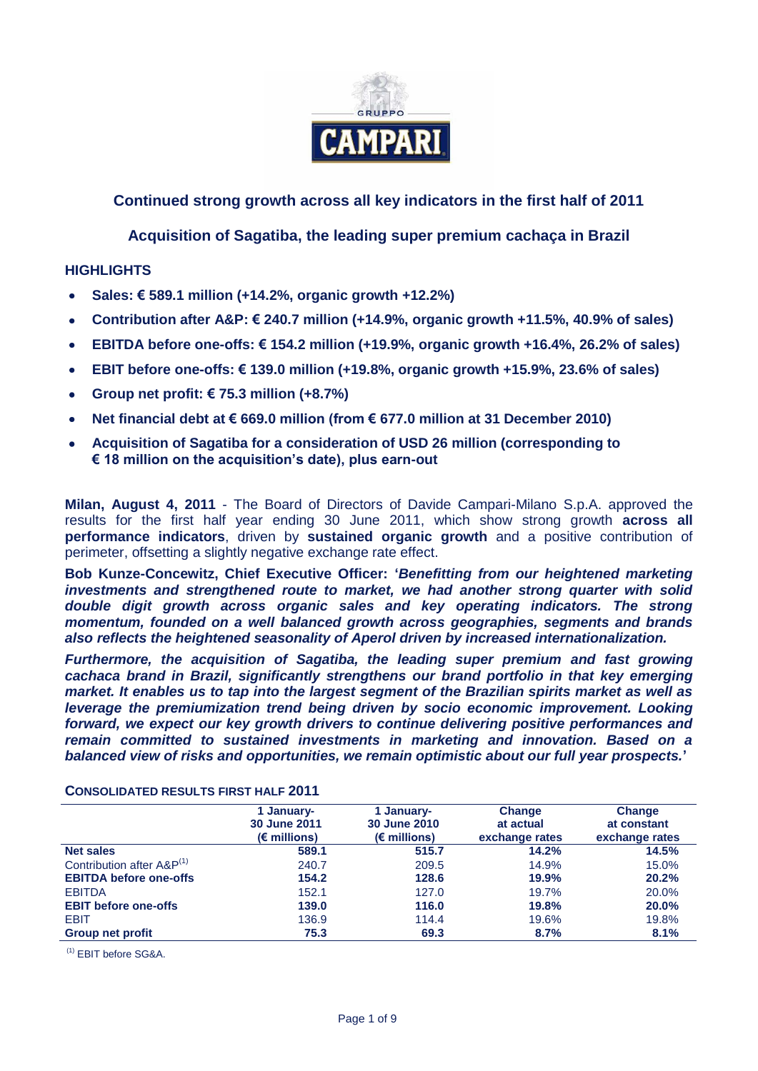

# **Continued strong growth across all key indicators in the first half of 2011**

**Acquisition of Sagatiba, the leading super premium cachaça in Brazil**

## **HIGHLIGHTS**

- **Sales: € 589.1 million (+14.2%, organic growth +12.2%)**
- **Contribution after A&P: € 240.7 million (+14.9%, organic growth +11.5%, 40.9% of sales)**
- **EBITDA before one-offs: € 154.2 million (+19.9%, organic growth +16.4%, 26.2% of sales)**
- **EBIT before one-offs: € 139.0 million (+19.8%, organic growth +15.9%, 23.6% of sales)**
- **Group net profit: € 75.3 million (+8.7%)**
- **Net financial debt at € 669.0 million (from € 677.0 million at 31 December 2010)**
- **Acquisition of Sagatiba for a consideration of USD 26 million (corresponding to € 18 million on the acquisition's date), plus earn-out**

**Milan, August 4, 2011** - The Board of Directors of Davide Campari-Milano S.p.A. approved the results for the first half year ending 30 June 2011, which show strong growth **across all performance indicators**, driven by **sustained organic growth** and a positive contribution of perimeter, offsetting a slightly negative exchange rate effect.

**Bob Kunze-Concewitz, Chief Executive Officer: '***Benefitting from our heightened marketing investments and strengthened route to market, we had another strong quarter with solid*  double digit growth across organic sales and key operating indicators. The strong *momentum, founded on a well balanced growth across geographies, segments and brands also reflects the heightened seasonality of Aperol driven by increased internationalization.*

*Furthermore, the acquisition of Sagatiba, the leading super premium and fast growing cachaca brand in Brazil, significantly strengthens our brand portfolio in that key emerging market. It enables us to tap into the largest segment of the Brazilian spirits market as well as leverage the premiumization trend being driven by socio economic improvement. Looking forward, we expect our key growth drivers to continue delivering positive performances and remain committed to sustained investments in marketing and innovation. Based on a balanced view of risks and opportunities, we remain optimistic about our full year prospects.***'**

|                                       | 1 January-<br>30 June 2011<br>$(\epsilon$ millions) | 1 January-<br>30 June 2010<br>$(\epsilon$ millions) | <b>Change</b><br>at actual<br>exchange rates | Change<br>at constant<br>exchange rates |
|---------------------------------------|-----------------------------------------------------|-----------------------------------------------------|----------------------------------------------|-----------------------------------------|
| <b>Net sales</b>                      | 589.1                                               | 515.7                                               | 14.2%                                        | 14.5%                                   |
| Contribution after A&P <sup>(1)</sup> | 240.7                                               | 209.5                                               | 14.9%                                        | 15.0%                                   |
| <b>EBITDA before one-offs</b>         | 154.2                                               | 128.6                                               | 19.9%                                        | 20.2%                                   |
| <b>EBITDA</b>                         | 152.1                                               | 127.0                                               | 19.7%                                        | 20.0%                                   |
| <b>EBIT before one-offs</b>           | 139.0                                               | 116.0                                               | 19.8%                                        | 20.0%                                   |
| <b>EBIT</b>                           | 136.9                                               | 114.4                                               | 19.6%                                        | 19.8%                                   |
| <b>Group net profit</b>               | 75.3                                                | 69.3                                                | 8.7%                                         | 8.1%                                    |

**CONSOLIDATED RESULTS FIRST HALF 2011**

(1) EBIT before SG&A.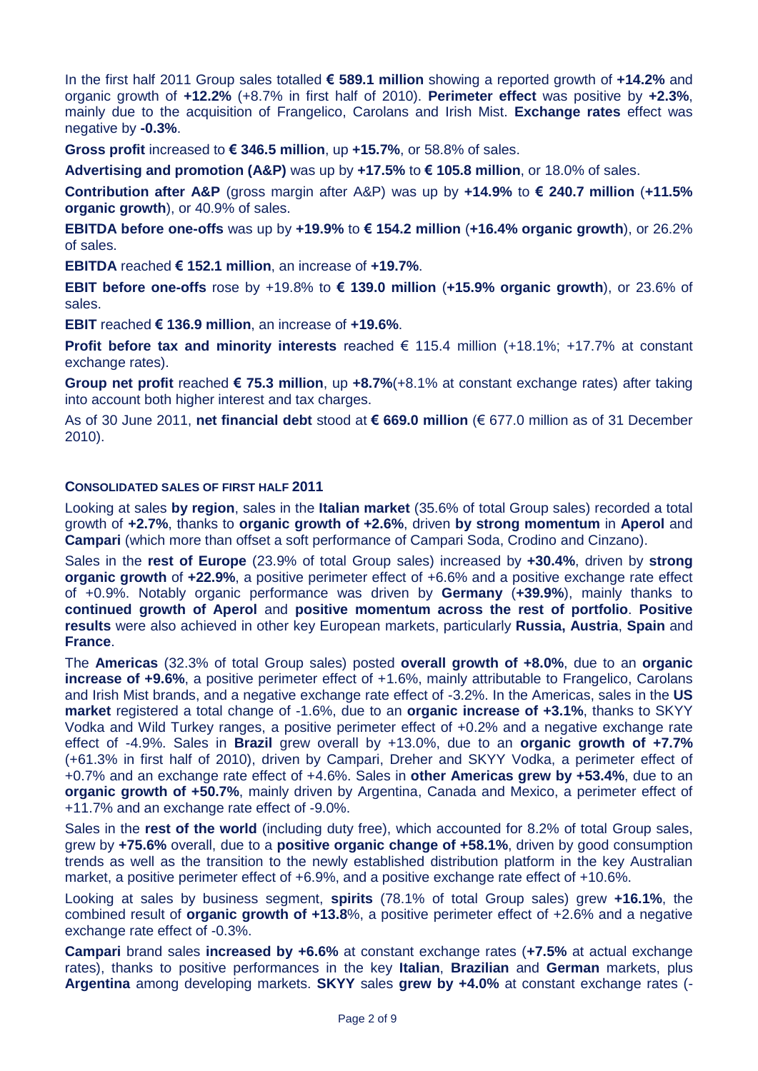In the first half 2011 Group sales totalled **€ 589.1 million** showing a reported growth of **+14.2%** and organic growth of **+12.2%** (+8.7% in first half of 2010). **Perimeter effect** was positive by **+2.3%**, mainly due to the acquisition of Frangelico, Carolans and Irish Mist. **Exchange rates** effect was negative by **-0.3%**.

**Gross profit** increased to **€ 346.5 million**, up **+15.7%**, or 58.8% of sales.

**Advertising and promotion (A&P)** was up by **+17.5%** to **€ 105.8 million**, or 18.0% of sales.

**Contribution after A&P** (gross margin after A&P) was up by **+14.9%** to **€ 240.7 million** (**+11.5% organic growth**), or 40.9% of sales.

**EBITDA before one-offs** was up by **+19.9%** to **€ 154.2 million** (**+16.4% organic growth**), or 26.2% of sales.

**EBITDA** reached **€ 152.1 million**, an increase of **+19.7%**.

**EBIT before one-offs** rose by +19.8% to **€ 139.0 million** (**+15.9% organic growth**), or 23.6% of sales.

**EBIT** reached **€ 136.9 million**, an increase of **+19.6%**.

**Profit before tax and minority interests** reached € 115.4 million (+18.1%; +17.7% at constant exchange rates).

**Group net profit** reached **€ 75.3 million**, up **+8.7%**(+8.1% at constant exchange rates) after taking into account both higher interest and tax charges.

As of 30 June 2011, **net financial debt** stood at **€ 669.0 million** (€ 677.0 million as of 31 December 2010).

### **CONSOLIDATED SALES OF FIRST HALF 2011**

Looking at sales **by region**, sales in the **Italian market** (35.6% of total Group sales) recorded a total growth of **+2.7%**, thanks to **organic growth of +2.6%**, driven **by strong momentum** in **Aperol** and **Campari** (which more than offset a soft performance of Campari Soda, Crodino and Cinzano).

Sales in the **rest of Europe** (23.9% of total Group sales) increased by **+30.4%**, driven by **strong organic growth** of **+22.9%**, a positive perimeter effect of +6.6% and a positive exchange rate effect of +0.9%. Notably organic performance was driven by **Germany** (**+39.9%**), mainly thanks to **continued growth of Aperol** and **positive momentum across the rest of portfolio**. **Positive results** were also achieved in other key European markets, particularly **Russia, Austria**, **Spain** and **France**.

The **Americas** (32.3% of total Group sales) posted **overall growth of +8.0%**, due to an **organic increase of +9.6%**, a positive perimeter effect of +1.6%, mainly attributable to Frangelico, Carolans and Irish Mist brands, and a negative exchange rate effect of -3.2%. In the Americas, sales in the **US market** registered a total change of -1.6%, due to an **organic increase of +3.1%**, thanks to SKYY Vodka and Wild Turkey ranges, a positive perimeter effect of +0.2% and a negative exchange rate effect of -4.9%. Sales in **Brazil** grew overall by +13.0%, due to an **organic growth of +7.7%** (+61.3% in first half of 2010), driven by Campari, Dreher and SKYY Vodka, a perimeter effect of +0.7% and an exchange rate effect of +4.6%. Sales in **other Americas grew by +53.4%**, due to an **organic growth of +50.7%**, mainly driven by Argentina, Canada and Mexico, a perimeter effect of +11.7% and an exchange rate effect of -9.0%.

Sales in the **rest of the world** (including duty free), which accounted for 8.2% of total Group sales, grew by **+75.6%** overall, due to a **positive organic change of +58.1%**, driven by good consumption trends as well as the transition to the newly established distribution platform in the key Australian market, a positive perimeter effect of +6.9%, and a positive exchange rate effect of +10.6%.

Looking at sales by business segment, **spirits** (78.1% of total Group sales) grew **+16.1%**, the combined result of **organic growth of +13.8**%, a positive perimeter effect of +2.6% and a negative exchange rate effect of -0.3%.

**Campari** brand sales **increased by +6.6%** at constant exchange rates (**+7.5%** at actual exchange rates), thanks to positive performances in the key **Italian**, **Brazilian** and **German** markets, plus **Argentina** among developing markets. **SKYY** sales **grew by +4.0%** at constant exchange rates (-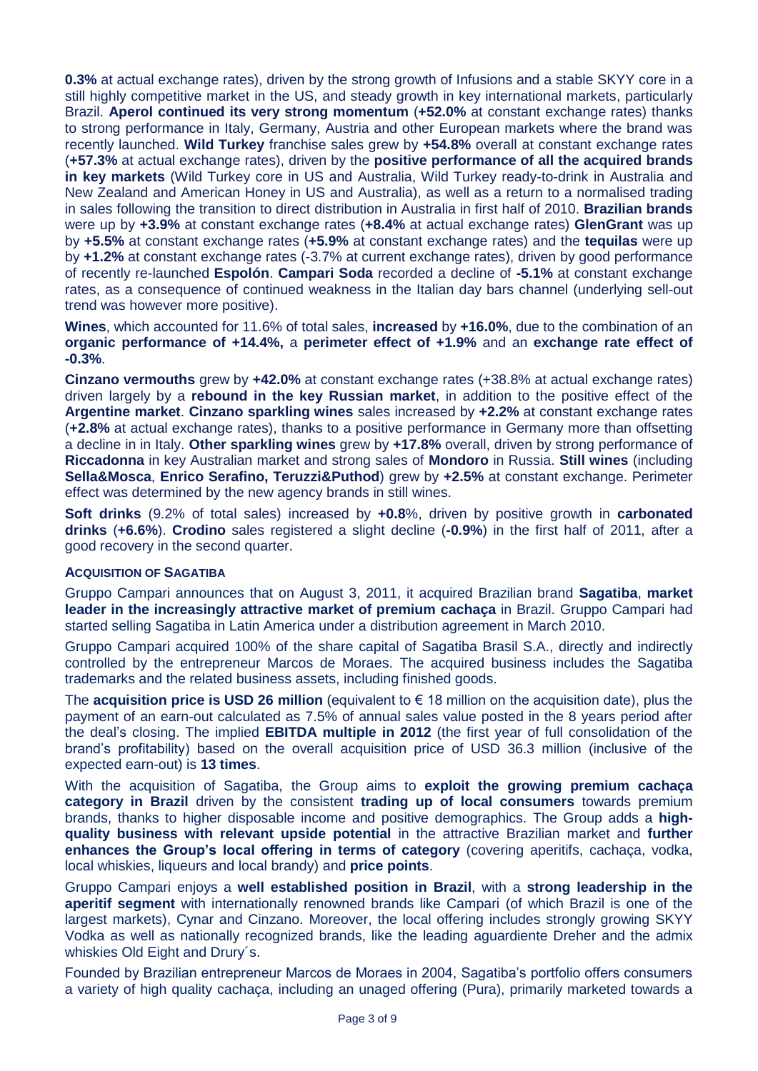**0.3%** at actual exchange rates), driven by the strong growth of Infusions and a stable SKYY core in a still highly competitive market in the US, and steady growth in key international markets, particularly Brazil. **Aperol continued its very strong momentum** (**+52.0%** at constant exchange rates) thanks to strong performance in Italy, Germany, Austria and other European markets where the brand was recently launched. **Wild Turkey** franchise sales grew by **+54.8%** overall at constant exchange rates (**+57.3%** at actual exchange rates), driven by the **positive performance of all the acquired brands in key markets** (Wild Turkey core in US and Australia, Wild Turkey ready-to-drink in Australia and New Zealand and American Honey in US and Australia), as well as a return to a normalised trading in sales following the transition to direct distribution in Australia in first half of 2010. **Brazilian brands** were up by **+3.9%** at constant exchange rates (**+8.4%** at actual exchange rates) **GlenGrant** was up by **+5.5%** at constant exchange rates (**+5.9%** at constant exchange rates) and the **tequilas** were up by **+1.2%** at constant exchange rates (-3.7% at current exchange rates), driven by good performance of recently re-launched **Espolón**. **Campari Soda** recorded a decline of **-5.1%** at constant exchange rates, as a consequence of continued weakness in the Italian day bars channel (underlying sell-out trend was however more positive).

**Wines**, which accounted for 11.6% of total sales, **increased** by **+16.0%**, due to the combination of an **organic performance of +14.4%,** a **perimeter effect of +1.9%** and an **exchange rate effect of -0.3%**.

**Cinzano vermouths** grew by **+42.0%** at constant exchange rates (+38.8% at actual exchange rates) driven largely by a **rebound in the key Russian market**, in addition to the positive effect of the **Argentine market**. **Cinzano sparkling wines** sales increased by **+2.2%** at constant exchange rates (**+2.8%** at actual exchange rates), thanks to a positive performance in Germany more than offsetting a decline in in Italy. **Other sparkling wines** grew by **+17.8%** overall, driven by strong performance of **Riccadonna** in key Australian market and strong sales of **Mondoro** in Russia. **Still wines** (including **Sella&Mosca**, **Enrico Serafino, Teruzzi&Puthod**) grew by **+2.5%** at constant exchange. Perimeter effect was determined by the new agency brands in still wines.

**Soft drinks** (9.2% of total sales) increased by **+0.8**%, driven by positive growth in **carbonated drinks** (**+6.6%**). **Crodino** sales registered a slight decline (**-0.9%**) in the first half of 2011, after a good recovery in the second quarter.

### **ACQUISITION OF SAGATIBA**

Gruppo Campari announces that on August 3, 2011, it acquired Brazilian brand **Sagatiba**, **market leader in the increasingly attractive market of premium cachaça** in Brazil. Gruppo Campari had started selling Sagatiba in Latin America under a distribution agreement in March 2010.

Gruppo Campari acquired 100% of the share capital of Sagatiba Brasil S.A., directly and indirectly controlled by the entrepreneur Marcos de Moraes. The acquired business includes the Sagatiba trademarks and the related business assets, including finished goods.

The **acquisition price is USD 26 million** (equivalent to € 18 million on the acquisition date), plus the payment of an earn-out calculated as 7.5% of annual sales value posted in the 8 years period after the deal's closing. The implied **EBITDA multiple in 2012** (the first year of full consolidation of the brand's profitability) based on the overall acquisition price of USD 36.3 million (inclusive of the expected earn-out) is **13 times**.

With the acquisition of Sagatiba, the Group aims to **exploit the growing premium cachaça category in Brazil** driven by the consistent **trading up of local consumers** towards premium brands, thanks to higher disposable income and positive demographics. The Group adds a **highquality business with relevant upside potential** in the attractive Brazilian market and **further enhances the Group's local offering in terms of category** (covering aperitifs, cachaça, vodka, local whiskies, liqueurs and local brandy) and **price points**.

Gruppo Campari enjoys a **well established position in Brazil**, with a **strong leadership in the aperitif segment** with internationally renowned brands like Campari (of which Brazil is one of the largest markets), Cynar and Cinzano. Moreover, the local offering includes strongly growing SKYY Vodka as well as nationally recognized brands, like the leading aguardiente Dreher and the admix whiskies Old Eight and Drury´s.

Founded by Brazilian entrepreneur Marcos de Moraes in 2004, Sagatiba's portfolio offers consumers a variety of high quality cachaça, including an unaged offering (Pura), primarily marketed towards a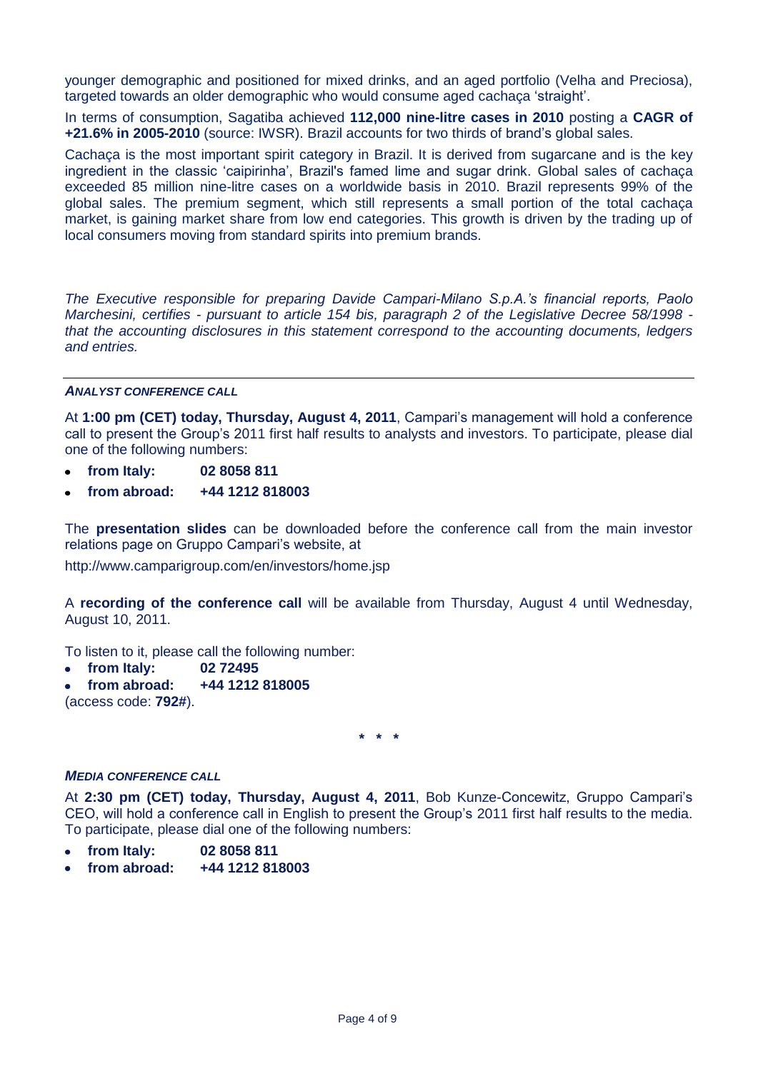younger demographic and positioned for mixed drinks, and an aged portfolio (Velha and Preciosa), targeted towards an older demographic who would consume aged cachaça 'straight'.

In terms of consumption, Sagatiba achieved **112,000 nine-litre cases in 2010** posting a **CAGR of +21.6% in 2005-2010** (source: IWSR). Brazil accounts for two thirds of brand's global sales.

Cachaça is the most important spirit category in Brazil. It is derived from sugarcane and is the key ingredient in the classic 'caipirinha', Brazil's famed lime and sugar drink. Global sales of cachaça exceeded 85 million nine-litre cases on a worldwide basis in 2010. Brazil represents 99% of the global sales. The premium segment, which still represents a small portion of the total cachaça market, is gaining market share from low end categories. This growth is driven by the trading up of local consumers moving from standard spirits into premium brands.

*The Executive responsible for preparing Davide Campari-Milano S.p.A.'s financial reports, Paolo Marchesini, certifies - pursuant to article 154 bis, paragraph 2 of the Legislative Decree 58/1998 that the accounting disclosures in this statement correspond to the accounting documents, ledgers and entries.*

### *ANALYST CONFERENCE CALL*

At **1:00 pm (CET) today, Thursday, August 4, 2011**, Campari's management will hold a conference call to present the Group's 2011 first half results to analysts and investors. To participate, please dial one of the following numbers:

- **from Italy: 02 8058 811**
- **from abroad: +44 1212 818003**

The **presentation slides** can be downloaded before the conference call from the main investor relations page on Gruppo Campari's website, at

http://www.camparigroup.com/en/investors/home.jsp

A **recording of the conference call** will be available from Thursday, August 4 until Wednesday, August 10, 2011.

To listen to it, please call the following number:

- **from Italy: 02 72495**  $\bullet$
- **from abroad: +44 1212 818005** (access code: **792#**).

**\* \* \***

### *MEDIA CONFERENCE CALL*

At **2:30 pm (CET) today, Thursday, August 4, 2011**, Bob Kunze-Concewitz, Gruppo Campari's CEO, will hold a conference call in English to present the Group's 2011 first half results to the media. To participate, please dial one of the following numbers:

- **from Italy: 02 8058 811**
- **from abroad: +44 1212 818003**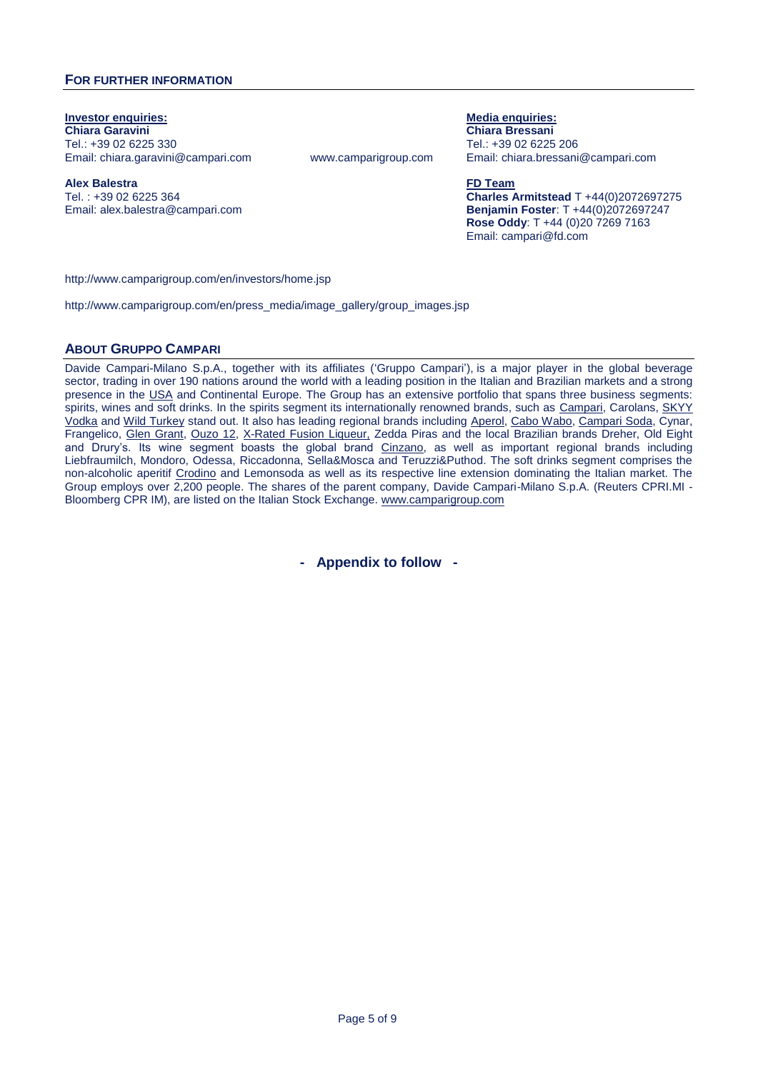### **FOR FURTHER INFORMATION**

**Investor enquiries: Media enquiries: Media enquiries: Media enquiries: Media** enquiries: **Chiara Garavini Chiara Bressani** Tel.: +39 02 6225 330 Tel.: +39 02 6225 206

**Alex Balestra FD Team** Tel. : +39 02 6225 364 Email: alex.balestra@campari.com

Email: chiara.garavini@campari.com www.camparigroup.com Email: [chiara.bressani@campari.com](mailto:chiara.bressani@campari.com)

**Charles Armitstead** T +44(0)2072697275 **Benjamin Foster**: T +44(0)2072697247 **Rose Oddy**: T +44 (0)20 7269 7163 Email: campari@fd.com

http://www.camparigroup.com/en/investors/home.jsp

[http://www.camparigroup.com/en/press\\_media/image\\_gallery/group\\_images.jsp](http://www.camparigroup.com/en/press_media/image_gallery/group_images.jsp)

### **ABOUT GRUPPO CAMPARI**

Davide Campari-Milano S.p.A., together with its affiliates ('Gruppo Campari'), is a major player in the global beverage sector, trading in over 190 nations around the world with a leading position in the Italian and Brazilian markets and a strong presence in the USA and Continental Europe. The Group has an extensive portfolio that spans three business segments: spirits, wines and soft drinks. In the spirits segment its internationally renowned brands, such as [Campari,](http://www.campari.com/) Carolans, SKYY [Vodka](http://www.skyy.com/) and Wild Turkey stand out. It also has leading regional brands including [Aperol,](http://www.aperol.com/) [Cabo Wabo,](http://www.cabowabo.com/) [Campari](http://www.camparisoda.it/) Soda, Cynar, Frangelico, [Glen Grant,](http://www.glengrant.com/) [Ouzo 12,](http://www.ouzo12.gr/) [X-Rated](http://www.xratedfusion.com/) Fusion Liqueur, Zedda Piras and the local Brazilian brands Dreher, Old Eight and Drury's. Its wine segment boasts the global brand [Cinzano,](http://www.cinzano.com/) as well as important regional brands including Liebfraumilch, Mondoro, Odessa, Riccadonna, Sella&Mosca and Teruzzi&Puthod. The soft drinks segment comprises the non-alcoholic aperitif [Crodino](http://www.crodino.it/) and Lemonsoda as well as its respective line extension dominating the Italian market. The Group employs over 2,200 people. The shares of the parent company, Davide Campari-Milano S.p.A. (Reuters CPRI.MI - Bloomberg CPR IM), are listed on the Italian Stock Exchange. [www.camparigroup.com](http://www.camparigroup.com/)

**- Appendix to follow -**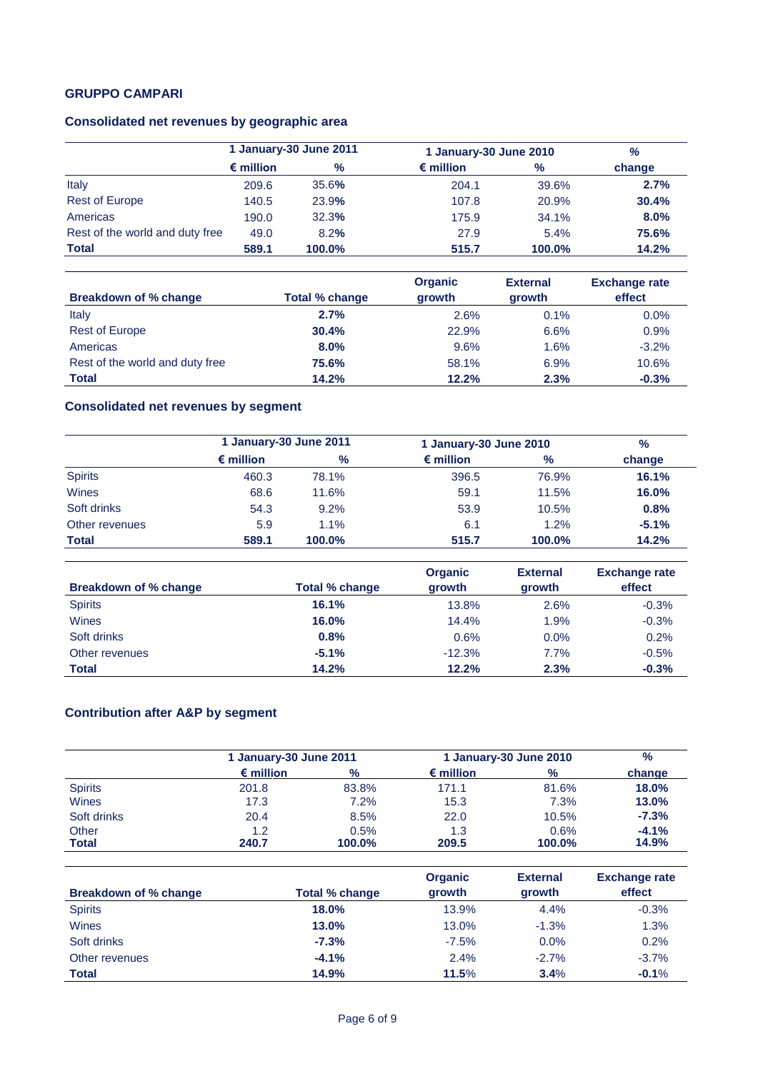# **GRUPPO CAMPARI**

# **Consolidated net revenues by geographic area**

|                                 | 1 January-30 June 2011 |        | 1 January-30 June 2010 |        | %      |
|---------------------------------|------------------------|--------|------------------------|--------|--------|
|                                 | $\epsilon$ million     | $\%$   | $\epsilon$ million     | $\%$   | change |
| Italy                           | 209.6                  | 35.6%  | 204.1                  | 39.6%  | 2.7%   |
| <b>Rest of Europe</b>           | 140.5                  | 23.9%  | 107.8                  | 20.9%  | 30.4%  |
| Americas                        | 190.0                  | 32.3%  | 175.9                  | 34.1%  | 8.0%   |
| Rest of the world and duty free | 49.0                   | 8.2%   | 27.9                   | 5.4%   | 75.6%  |
| <b>Total</b>                    | 589.1                  | 100.0% | 515.7                  | 100.0% | 14.2%  |

| Breakdown of % change           | Total % change | <b>Organic</b><br>growth | <b>External</b><br>growth | <b>Exchange rate</b><br>effect |
|---------------------------------|----------------|--------------------------|---------------------------|--------------------------------|
|                                 |                |                          |                           |                                |
| Italy                           | 2.7%           | 2.6%                     | 0.1%                      | $0.0\%$                        |
| <b>Rest of Europe</b>           | 30.4%          | 22.9%                    | 6.6%                      | 0.9%                           |
| Americas                        | 8.0%           | 9.6%                     | 1.6%                      | $-3.2%$                        |
| Rest of the world and duty free | 75.6%          | 58.1%                    | 6.9%                      | 10.6%                          |
| <b>Total</b>                    | 14.2%          | 12.2%                    | 2.3%                      | $-0.3%$                        |

# **Consolidated net revenues by segment**

|                | 1 January-30 June 2011 |        | 1 January-30 June 2010 |        | $\%$    |
|----------------|------------------------|--------|------------------------|--------|---------|
|                | $\epsilon$ million     | $\%$   | $\epsilon$ million     | $\%$   | change  |
| <b>Spirits</b> | 460.3                  | 78.1%  | 396.5                  | 76.9%  | 16.1%   |
| Wines          | 68.6                   | 11.6%  | 59.1                   | 11.5%  | 16.0%   |
| Soft drinks    | 54.3                   | 9.2%   | 53.9                   | 10.5%  | 0.8%    |
| Other revenues | 5.9                    | 1.1%   | 6.1                    | 1.2%   | $-5.1%$ |
| <b>Total</b>   | 589.1                  | 100.0% | 515.7                  | 100.0% | 14.2%   |

| Breakdown of % change | <b>Total % change</b> | <b>Organic</b><br>growth | <b>External</b><br>growth | <b>Exchange rate</b><br>effect |
|-----------------------|-----------------------|--------------------------|---------------------------|--------------------------------|
| <b>Spirits</b>        | 16.1%                 | 13.8%                    | 2.6%                      | $-0.3%$                        |
| Wines                 | 16.0%                 | 14.4%                    | 1.9%                      | $-0.3%$                        |
| Soft drinks           | 0.8%                  | 0.6%                     | $0.0\%$                   | 0.2%                           |
| Other revenues        | $-5.1%$               | $-12.3%$                 | 7.7%                      | $-0.5%$                        |
| <b>Total</b>          | 14.2%                 | 12.2%                    | 2.3%                      | $-0.3%$                        |

# **Contribution after A&P by segment**

|                       |                    | 1 January-30 June 2011 |                    | 1 January-30 June 2010 |                  |
|-----------------------|--------------------|------------------------|--------------------|------------------------|------------------|
|                       | $\epsilon$ million | $\frac{9}{6}$          | $\epsilon$ million | $\%$                   | change           |
| <b>Spirits</b>        | 201.8              | 83.8%                  | 171.1              | 81.6%                  | <b>18.0%</b>     |
| Wines                 | 17.3               | 7.2%                   | 15.3               | 7.3%                   | 13.0%            |
| Soft drinks           | 20.4               | 8.5%                   | 22.0               | 10.5%                  | $-7.3%$          |
| Other<br><b>Total</b> | 1.2<br>240.7       | 0.5%<br>100.0%         | 1.3<br>209.5       | 0.6%<br>100.0%         | $-4.1%$<br>14.9% |

| <b>Breakdown of % change</b> | Total % change | <b>Organic</b><br>growth | <b>External</b><br>growth | <b>Exchange rate</b><br>effect |
|------------------------------|----------------|--------------------------|---------------------------|--------------------------------|
| <b>Spirits</b>               | 18.0%          | 13.9%                    | 4.4%                      | $-0.3%$                        |
| <b>Wines</b>                 | 13.0%          | 13.0%                    | $-1.3%$                   | 1.3%                           |
| Soft drinks                  | $-7.3%$        | $-7.5\%$                 | 0.0%                      | 0.2%                           |
| Other revenues               | $-4.1%$        | 2.4%                     | $-2.7%$                   | $-3.7%$                        |
| <b>Total</b>                 | 14.9%          | 11.5%                    | 3.4%                      | $-0.1%$                        |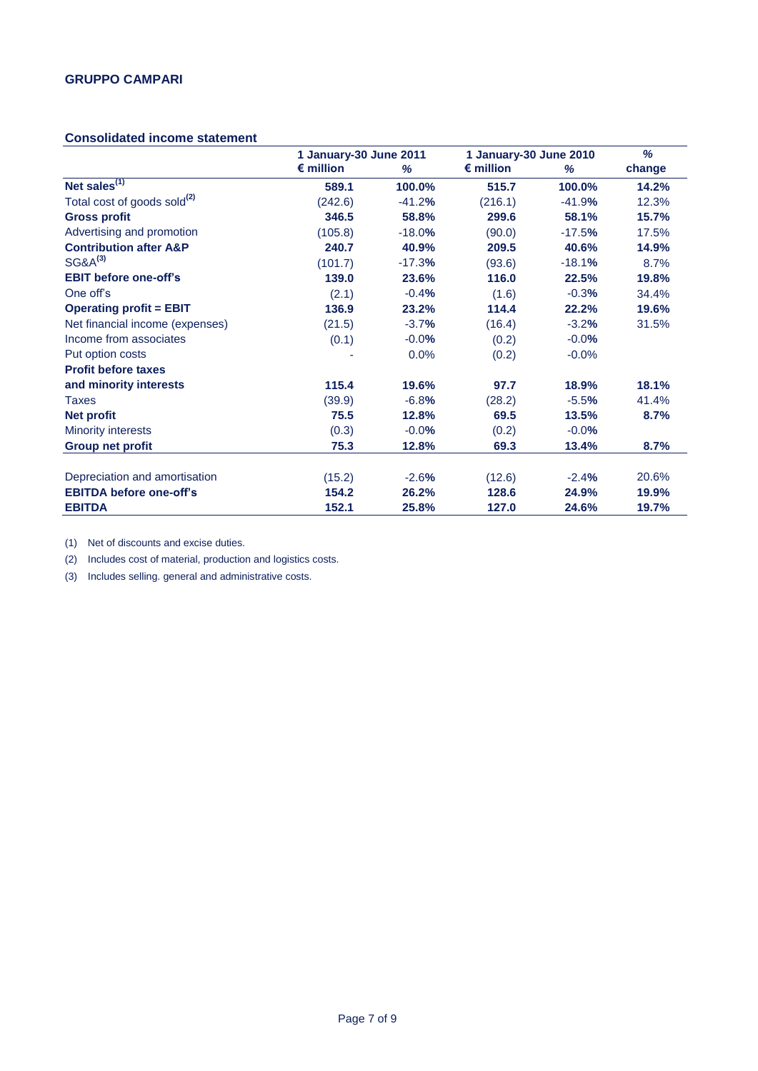### **Consolidated income statement**

|                                         | 1 January-30 June 2011 |          | 1 January-30 June 2010 |          | %      |
|-----------------------------------------|------------------------|----------|------------------------|----------|--------|
|                                         | $\epsilon$ million     | %        | $\epsilon$ million     | %        | change |
| Net sales $\overline{^{(1)}}$           | 589.1                  | 100.0%   | 515.7                  | 100.0%   | 14.2%  |
| Total cost of goods sold <sup>(2)</sup> | (242.6)                | $-41.2%$ | (216.1)                | $-41.9%$ | 12.3%  |
| <b>Gross profit</b>                     | 346.5                  | 58.8%    | 299.6                  | 58.1%    | 15.7%  |
| Advertising and promotion               | (105.8)                | $-18.0%$ | (90.0)                 | $-17.5%$ | 17.5%  |
| <b>Contribution after A&amp;P</b>       | 240.7                  | 40.9%    | 209.5                  | 40.6%    | 14.9%  |
| $SG&A^{(3)}$                            | (101.7)                | $-17.3%$ | (93.6)                 | $-18.1%$ | 8.7%   |
| <b>EBIT before one-off's</b>            | 139.0                  | 23.6%    | 116.0                  | 22.5%    | 19.8%  |
| One off's                               | (2.1)                  | $-0.4%$  | (1.6)                  | $-0.3%$  | 34.4%  |
| <b>Operating profit = EBIT</b>          | 136.9                  | 23.2%    | 114.4                  | 22.2%    | 19.6%  |
| Net financial income (expenses)         | (21.5)                 | $-3.7%$  | (16.4)                 | $-3.2%$  | 31.5%  |
| Income from associates                  | (0.1)                  | $-0.0%$  | (0.2)                  | $-0.0%$  |        |
| Put option costs                        |                        | 0.0%     | (0.2)                  | $-0.0%$  |        |
| <b>Profit before taxes</b>              |                        |          |                        |          |        |
| and minority interests                  | 115.4                  | 19.6%    | 97.7                   | 18.9%    | 18.1%  |
| Taxes                                   | (39.9)                 | $-6.8%$  | (28.2)                 | $-5.5%$  | 41.4%  |
| Net profit                              | 75.5                   | 12.8%    | 69.5                   | 13.5%    | 8.7%   |
| <b>Minority interests</b>               | (0.3)                  | $-0.0%$  | (0.2)                  | $-0.0%$  |        |
| <b>Group net profit</b>                 | 75.3                   | 12.8%    | 69.3                   | 13.4%    | 8.7%   |
| Depreciation and amortisation           | (15.2)                 | $-2.6%$  | (12.6)                 | $-2.4%$  | 20.6%  |
| <b>EBITDA before one-off's</b>          | 154.2                  | 26.2%    | 128.6                  | 24.9%    | 19.9%  |
| <b>EBITDA</b>                           | 152.1                  | 25.8%    | 127.0                  | 24.6%    | 19.7%  |

(1) Net of discounts and excise duties.

(2) Includes cost of material, production and logistics costs.

(3) Includes selling. general and administrative costs.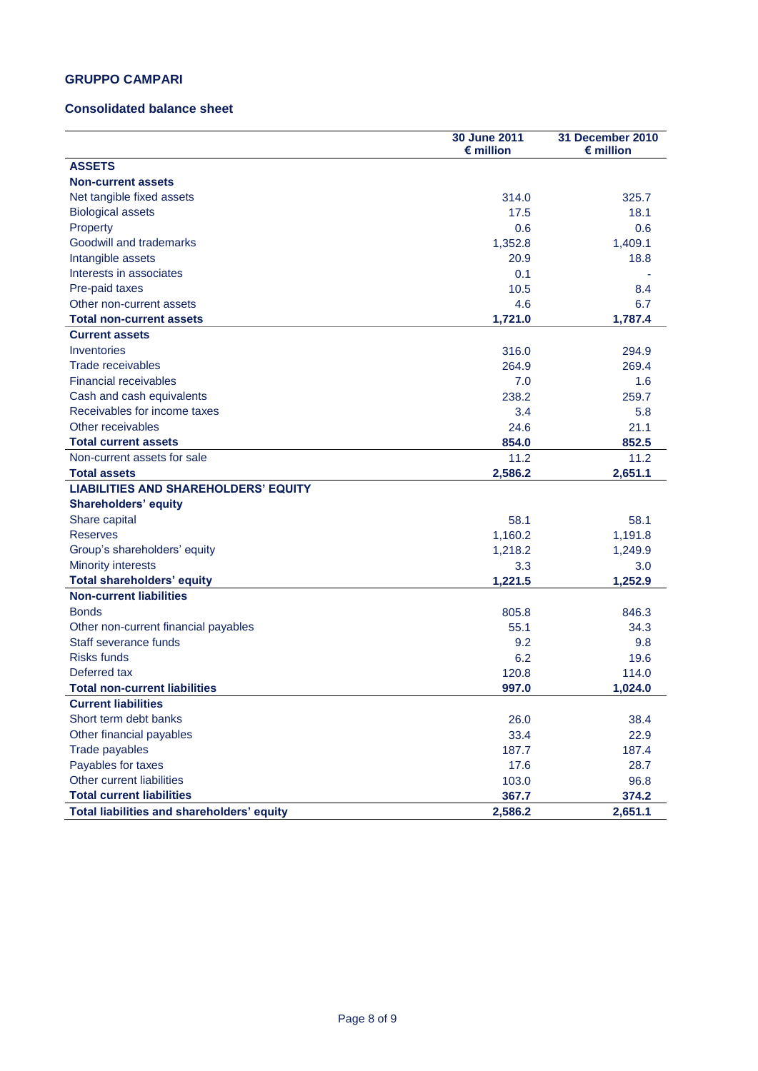## **GRUPPO CAMPARI**

### **Consolidated balance sheet**

|                                             | 30 June 2011<br>$\epsilon$ million | 31 December 2010<br>$\epsilon$ million |
|---------------------------------------------|------------------------------------|----------------------------------------|
| <b>ASSETS</b>                               |                                    |                                        |
| <b>Non-current assets</b>                   |                                    |                                        |
| Net tangible fixed assets                   | 314.0                              | 325.7                                  |
| <b>Biological assets</b>                    | 17.5                               | 18.1                                   |
| Property                                    | 0.6                                | 0.6                                    |
| Goodwill and trademarks                     | 1,352.8                            | 1,409.1                                |
| Intangible assets                           | 20.9                               | 18.8                                   |
| Interests in associates                     | 0.1                                |                                        |
| Pre-paid taxes                              | 10.5                               | 8.4                                    |
| Other non-current assets                    | 4.6                                | 6.7                                    |
| <b>Total non-current assets</b>             | 1,721.0                            | 1,787.4                                |
| <b>Current assets</b>                       |                                    |                                        |
| Inventories                                 | 316.0                              | 294.9                                  |
| Trade receivables                           | 264.9                              | 269.4                                  |
| <b>Financial receivables</b>                | 7.0                                | 1.6                                    |
| Cash and cash equivalents                   | 238.2                              | 259.7                                  |
| Receivables for income taxes                | 3.4                                | 5.8                                    |
| Other receivables                           | 24.6                               | 21.1                                   |
| <b>Total current assets</b>                 | 854.0                              | 852.5                                  |
| Non-current assets for sale                 | 11.2                               | 11.2                                   |
| <b>Total assets</b>                         | 2,586.2                            | 2,651.1                                |
| <b>LIABILITIES AND SHAREHOLDERS' EQUITY</b> |                                    |                                        |
| <b>Shareholders' equity</b>                 |                                    |                                        |
| Share capital                               | 58.1                               | 58.1                                   |
| <b>Reserves</b>                             | 1,160.2                            | 1,191.8                                |
| Group's shareholders' equity                | 1,218.2                            | 1,249.9                                |
| <b>Minority interests</b>                   | 3.3                                | 3.0                                    |
| <b>Total shareholders' equity</b>           | 1,221.5                            | 1,252.9                                |
| <b>Non-current liabilities</b>              |                                    |                                        |
| <b>Bonds</b>                                | 805.8                              | 846.3                                  |
| Other non-current financial payables        | 55.1                               | 34.3                                   |
| Staff severance funds                       | 9.2                                | 9.8                                    |
| <b>Risks funds</b>                          | 6.2                                | 19.6                                   |
| Deferred tax                                | 120.8                              | 114.0                                  |
| <b>Total non-current liabilities</b>        | 997.0                              | 1,024.0                                |
| <b>Current liabilities</b>                  |                                    |                                        |
| Short term debt banks                       | 26.0                               | 38.4                                   |
| Other financial payables                    | 33.4                               | 22.9                                   |
| Trade payables                              | 187.7                              | 187.4                                  |
| Payables for taxes                          | 17.6                               | 28.7                                   |
| Other current liabilities                   | 103.0                              | 96.8                                   |
| <b>Total current liabilities</b>            | 367.7                              | 374.2                                  |
| Total liabilities and shareholders' equity  | 2,586.2                            | 2,651.1                                |